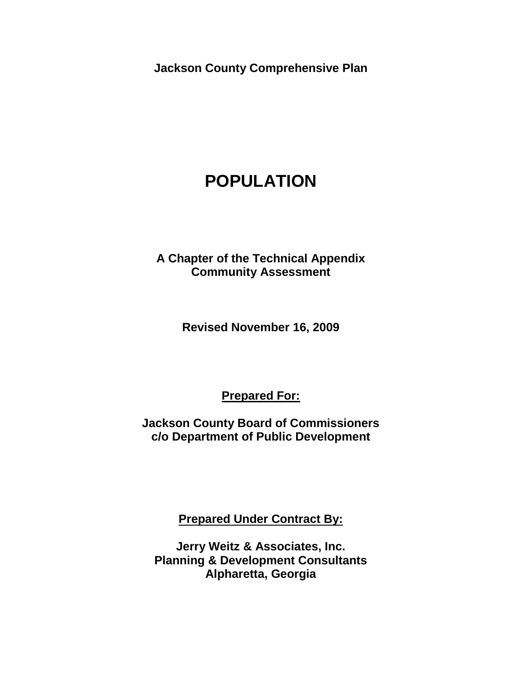**Jackson County Comprehensive Plan**

# **POPULATION**

**A Chapter of the Technical Appendix Community Assessment** 

**Revised November 16, 2009**

**Prepared For:**

**Jackson County Board of Commissioners c/o Department of Public Development**

**Prepared Under Contract By:**

**Jerry Weitz & Associates, Inc. Planning & Development Consultants Alpharetta, Georgia**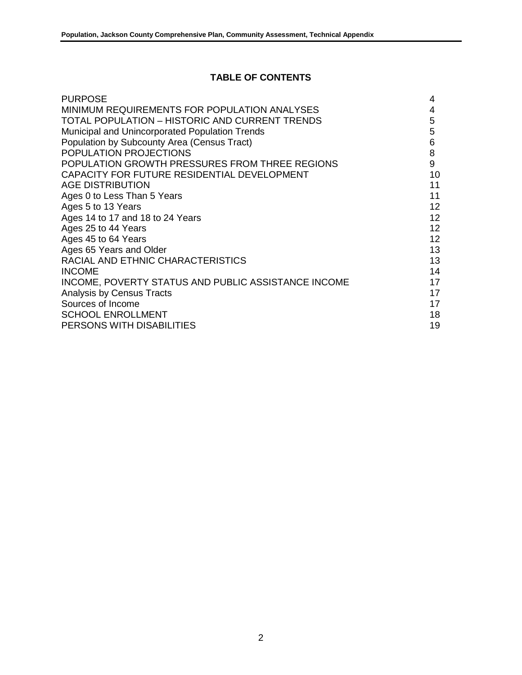# **TABLE OF CONTENTS**

| <b>PURPOSE</b>                                      | 4               |
|-----------------------------------------------------|-----------------|
| MINIMUM REQUIREMENTS FOR POPULATION ANALYSES        | 4               |
| TOTAL POPULATION - HISTORIC AND CURRENT TRENDS      | 5               |
| Municipal and Unincorporated Population Trends      | 5               |
| Population by Subcounty Area (Census Tract)         | 6               |
| POPULATION PROJECTIONS                              | 8               |
| POPULATION GROWTH PRESSURES FROM THREE REGIONS      | 9               |
| CAPACITY FOR FUTURE RESIDENTIAL DEVELOPMENT         | 10              |
| <b>AGE DISTRIBUTION</b>                             | 11              |
| Ages 0 to Less Than 5 Years                         | 11              |
| Ages 5 to 13 Years                                  | 12              |
| Ages 14 to 17 and 18 to 24 Years                    | 12 <sup>2</sup> |
| Ages 25 to 44 Years                                 | 12 <sup>2</sup> |
| Ages 45 to 64 Years                                 | 12 <sub>2</sub> |
| Ages 65 Years and Older                             | 13              |
| RACIAL AND ETHNIC CHARACTERISTICS                   | 13              |
| <b>INCOME</b>                                       | 14              |
| INCOME, POVERTY STATUS AND PUBLIC ASSISTANCE INCOME | 17              |
| Analysis by Census Tracts                           | 17              |
| Sources of Income                                   | 17              |
| <b>SCHOOL ENROLLMENT</b>                            | 18              |
| PERSONS WITH DISABILITIES                           | 19              |
|                                                     |                 |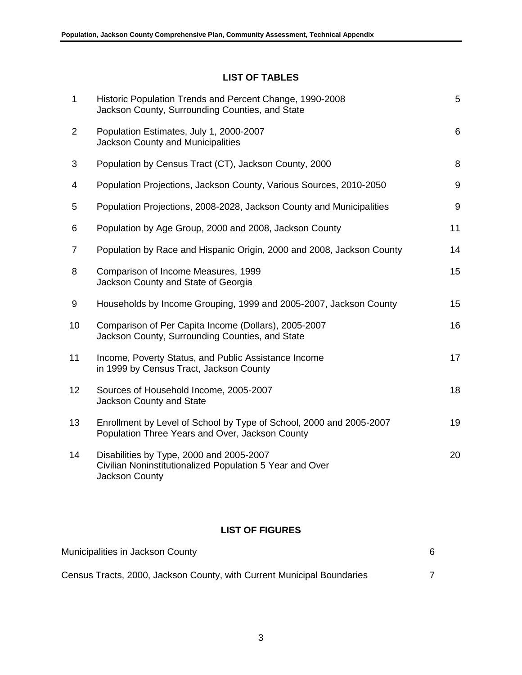# **LIST OF TABLES**

| $\mathbf{1}$    | Historic Population Trends and Percent Change, 1990-2008<br>Jackson County, Surrounding Counties, and State            | 5     |
|-----------------|------------------------------------------------------------------------------------------------------------------------|-------|
| $\overline{2}$  | Population Estimates, July 1, 2000-2007<br>Jackson County and Municipalities                                           | 6     |
| 3               | Population by Census Tract (CT), Jackson County, 2000                                                                  | 8     |
| 4               | Population Projections, Jackson County, Various Sources, 2010-2050                                                     | 9     |
| 5               | Population Projections, 2008-2028, Jackson County and Municipalities                                                   | $9\,$ |
| 6               | Population by Age Group, 2000 and 2008, Jackson County                                                                 | 11    |
| 7               | Population by Race and Hispanic Origin, 2000 and 2008, Jackson County                                                  | 14    |
| 8               | Comparison of Income Measures, 1999<br>Jackson County and State of Georgia                                             | 15    |
| 9               | Households by Income Grouping, 1999 and 2005-2007, Jackson County                                                      | 15    |
| 10              | Comparison of Per Capita Income (Dollars), 2005-2007<br>Jackson County, Surrounding Counties, and State                | 16    |
| 11              | Income, Poverty Status, and Public Assistance Income<br>in 1999 by Census Tract, Jackson County                        | 17    |
| 12 <sub>2</sub> | Sources of Household Income, 2005-2007<br>Jackson County and State                                                     | 18    |
| 13              | Enrollment by Level of School by Type of School, 2000 and 2005-2007<br>Population Three Years and Over, Jackson County | 19    |
| 14              | Disabilities by Type, 2000 and 2005-2007<br>Civilian Noninstitutionalized Population 5 Year and Over<br>Jackson County | 20    |

## **LIST OF FIGURES**

| Municipalities in Jackson County                                       |  |  |  |
|------------------------------------------------------------------------|--|--|--|
| Census Tracts, 2000, Jackson County, with Current Municipal Boundaries |  |  |  |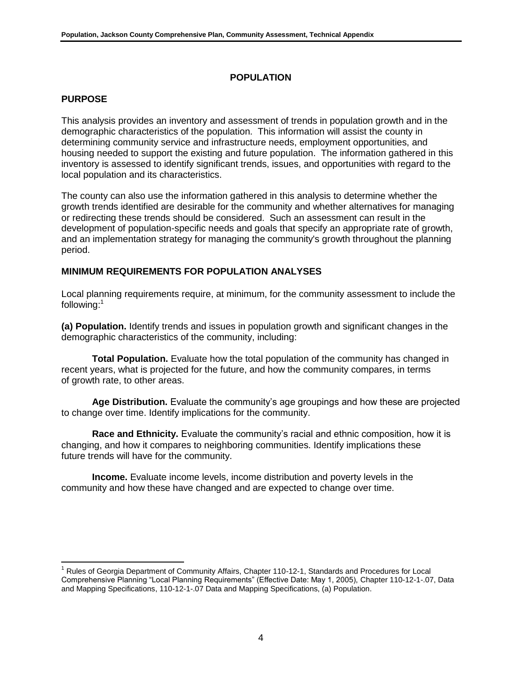## **POPULATION**

## **PURPOSE**

This analysis provides an inventory and assessment of trends in population growth and in the demographic characteristics of the population. This information will assist the county in determining community service and infrastructure needs, employment opportunities, and housing needed to support the existing and future population. The information gathered in this inventory is assessed to identify significant trends, issues, and opportunities with regard to the local population and its characteristics.

The county can also use the information gathered in this analysis to determine whether the growth trends identified are desirable for the community and whether alternatives for managing or redirecting these trends should be considered. Such an assessment can result in the development of population-specific needs and goals that specify an appropriate rate of growth, and an implementation strategy for managing the community's growth throughout the planning period.

## **MINIMUM REQUIREMENTS FOR POPULATION ANALYSES**

Local planning requirements require, at minimum, for the community assessment to include the following:<sup>1</sup>

**(a) Population.** Identify trends and issues in population growth and significant changes in the demographic characteristics of the community, including:

**Total Population.** Evaluate how the total population of the community has changed in recent years, what is projected for the future, and how the community compares, in terms of growth rate, to other areas.

**Age Distribution.** Evaluate the community's age groupings and how these are projected to change over time. Identify implications for the community.

**Race and Ethnicity.** Evaluate the community's racial and ethnic composition, how it is changing, and how it compares to neighboring communities. Identify implications these future trends will have for the community.

**Income.** Evaluate income levels, income distribution and poverty levels in the community and how these have changed and are expected to change over time.

l <sup>1</sup> Rules of Georgia Department of Community Affairs, Chapter 110-12-1, Standards and Procedures for Local Comprehensive Planning "Local Planning Requirements" (Effective Date: May 1, 2005), Chapter 110-12-1-.07, Data and Mapping Specifications, 110-12-1-.07 Data and Mapping Specifications, (a) Population.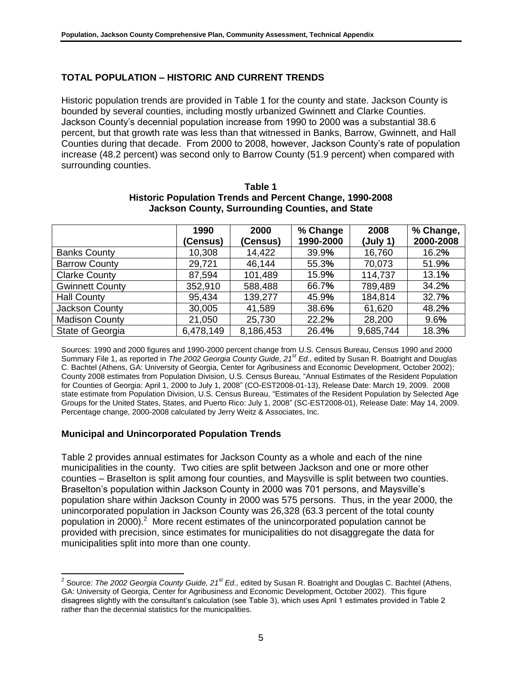# **TOTAL POPULATION – HISTORIC AND CURRENT TRENDS**

Historic population trends are provided in Table 1 for the county and state. Jackson County is bounded by several counties, including mostly urbanized Gwinnett and Clarke Counties. Jackson County's decennial population increase from 1990 to 2000 was a substantial 38.6 percent, but that growth rate was less than that witnessed in Banks, Barrow, Gwinnett, and Hall Counties during that decade. From 2000 to 2008, however, Jackson County's rate of population increase (48.2 percent) was second only to Barrow County (51.9 percent) when compared with surrounding counties.

|                        | 1990<br>(Census) | 2000<br>(Census) | % Change<br>1990-2000 | 2008<br>(July 1) | % Change,<br>2000-2008 |
|------------------------|------------------|------------------|-----------------------|------------------|------------------------|
| <b>Banks County</b>    | 10,308           | 14,422           | 39.9%                 | 16,760           | 16.2%                  |
| <b>Barrow County</b>   | 29,721           | 46,144           | 55.3%                 | 70,073           | 51.9%                  |
| <b>Clarke County</b>   | 87,594           | 101,489          | 15.9%                 | 114,737          | 13.1%                  |
| <b>Gwinnett County</b> | 352,910          | 588,488          | 66.7%                 | 789,489          | 34.2%                  |
| <b>Hall County</b>     | 95,434           | 139,277          | 45.9%                 | 184,814          | 32.7%                  |
| Jackson County         | 30,005           | 41,589           | 38.6%                 | 61,620           | 48.2%                  |
| <b>Madison County</b>  | 21,050           | 25,730           | 22.2%                 | 28,200           | 9.6%                   |
| State of Georgia       | 6,478,149        | 8,186,453        | 26.4%                 | 9,685,744        | 18.3%                  |

#### **Table 1 Historic Population Trends and Percent Change, 1990-2008 Jackson County, Surrounding Counties, and State**

Sources: 1990 and 2000 figures and 1990-2000 percent change from U.S. Census Bureau, Census 1990 and 2000 Summary File 1, as reported in *The 2002 Georgia County Guide, 21st Ed.,* edited by Susan R. Boatright and Douglas C. Bachtel (Athens, GA: University of Georgia, Center for Agribusiness and Economic Development, October 2002); County 2008 estimates from Population Division, U.S. Census Bureau, "Annual Estimates of the Resident Population for Counties of Georgia: April 1, 2000 to July 1, 2008" (CO-EST2008-01-13), Release Date: March 19, 2009. 2008 state estimate from Population Division, U.S. Census Bureau, "Estimates of the Resident Population by Selected Age Groups for the United States, States, and Puerto Rico: July 1, 2008" (SC-EST2008-01), Release Date: May 14, 2009. Percentage change, 2000-2008 calculated by Jerry Weitz & Associates, Inc.

# **Municipal and Unincorporated Population Trends**

 $\overline{\phantom{a}}$ 

Table 2 provides annual estimates for Jackson County as a whole and each of the nine municipalities in the county. Two cities are split between Jackson and one or more other counties – Braselton is split among four counties, and Maysville is split between two counties. Braselton's population within Jackson County in 2000 was 701 persons, and Maysville's population share within Jackson County in 2000 was 575 persons. Thus, in the year 2000, the unincorporated population in Jackson County was 26,328 (63.3 percent of the total county population in 2000).<sup>2</sup> More recent estimates of the unincorporated population cannot be provided with precision, since estimates for municipalities do not disaggregate the data for municipalities split into more than one county.

<sup>2</sup> Source: *The 2002 Georgia County Guide, 21st Ed.,* edited by Susan R. Boatright and Douglas C. Bachtel (Athens, GA: University of Georgia, Center for Agribusiness and Economic Development, October 2002). This figure disagrees slightly with the consultant's calculation (see Table 3), which uses April 1 estimates provided in Table 2 rather than the decennial statistics for the municipalities.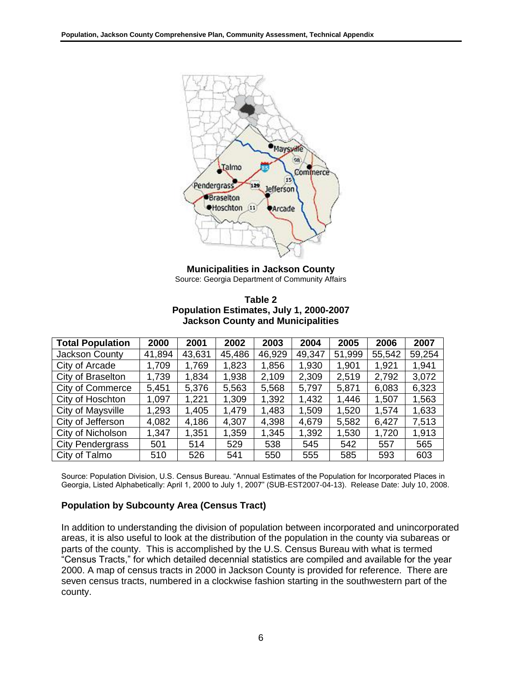

**Municipalities in Jackson County** Source: Georgia Department of Community Affairs

| Table 2                                  |  |
|------------------------------------------|--|
| Population Estimates, July 1, 2000-2007  |  |
| <b>Jackson County and Municipalities</b> |  |

| <b>Total Population</b> | 2000   | 2001   | 2002   | 2003   | 2004   | 2005   | 2006   | 2007   |
|-------------------------|--------|--------|--------|--------|--------|--------|--------|--------|
| Jackson County          | 41,894 | 43,631 | 45,486 | 46,929 | 49,347 | 51,999 | 55,542 | 59,254 |
| City of Arcade          | 1,709  | 1,769  | 1,823  | 1,856  | 1,930  | 1,901  | 1,921  | 1,941  |
| City of Braselton       | 1,739  | 1,834  | 1,938  | 2,109  | 2,309  | 2,519  | 2,792  | 3,072  |
| <b>City of Commerce</b> | 5,451  | 5,376  | 5,563  | 5,568  | 5,797  | 5,871  | 6,083  | 6,323  |
| City of Hoschton        | 1,097  | 1,221  | 1,309  | 1,392  | 1,432  | 1,446  | 1,507  | 1,563  |
| City of Maysville       | 1,293  | 1,405  | 1,479  | 1,483  | 1,509  | 1,520  | 1,574  | 1,633  |
| City of Jefferson       | 4,082  | 4,186  | 4,307  | 4,398  | 4,679  | 5,582  | 6,427  | 7,513  |
| City of Nicholson       | 1,347  | 1,351  | 1,359  | 1,345  | 1,392  | 1,530  | 1,720  | 1,913  |
| <b>City Pendergrass</b> | 501    | 514    | 529    | 538    | 545    | 542    | 557    | 565    |
| City of Talmo           | 510    | 526    | 541    | 550    | 555    | 585    | 593    | 603    |

Source: Population Division, U.S. Census Bureau. "Annual Estimates of the Population for Incorporated Places in Georgia, Listed Alphabetically: April 1, 2000 to July 1, 2007" (SUB-EST2007-04-13). Release Date: July 10, 2008.

#### **Population by Subcounty Area (Census Tract)**

In addition to understanding the division of population between incorporated and unincorporated areas, it is also useful to look at the distribution of the population in the county via subareas or parts of the county. This is accomplished by the U.S. Census Bureau with what is termed "Census Tracts," for which detailed decennial statistics are compiled and available for the year 2000. A map of census tracts in 2000 in Jackson County is provided for reference. There are seven census tracts, numbered in a clockwise fashion starting in the southwestern part of the county.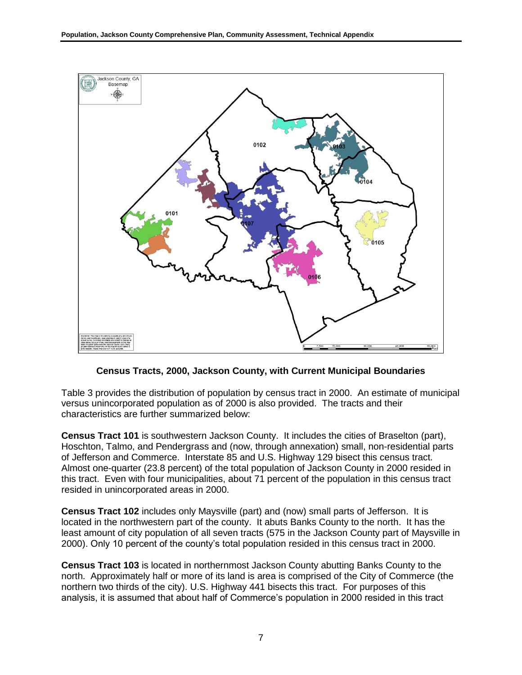

**Census Tracts, 2000, Jackson County, with Current Municipal Boundaries**

Table 3 provides the distribution of population by census tract in 2000. An estimate of municipal versus unincorporated population as of 2000 is also provided. The tracts and their characteristics are further summarized below:

**Census Tract 101** is southwestern Jackson County. It includes the cities of Braselton (part), Hoschton, Talmo, and Pendergrass and (now, through annexation) small, non-residential parts of Jefferson and Commerce. Interstate 85 and U.S. Highway 129 bisect this census tract. Almost one-quarter (23.8 percent) of the total population of Jackson County in 2000 resided in this tract. Even with four municipalities, about 71 percent of the population in this census tract resided in unincorporated areas in 2000.

**Census Tract 102** includes only Maysville (part) and (now) small parts of Jefferson. It is located in the northwestern part of the county. It abuts Banks County to the north. It has the least amount of city population of all seven tracts (575 in the Jackson County part of Maysville in 2000). Only 10 percent of the county's total population resided in this census tract in 2000.

**Census Tract 103** is located in northernmost Jackson County abutting Banks County to the north. Approximately half or more of its land is area is comprised of the City of Commerce (the northern two thirds of the city). U.S. Highway 441 bisects this tract. For purposes of this analysis, it is assumed that about half of Commerce's population in 2000 resided in this tract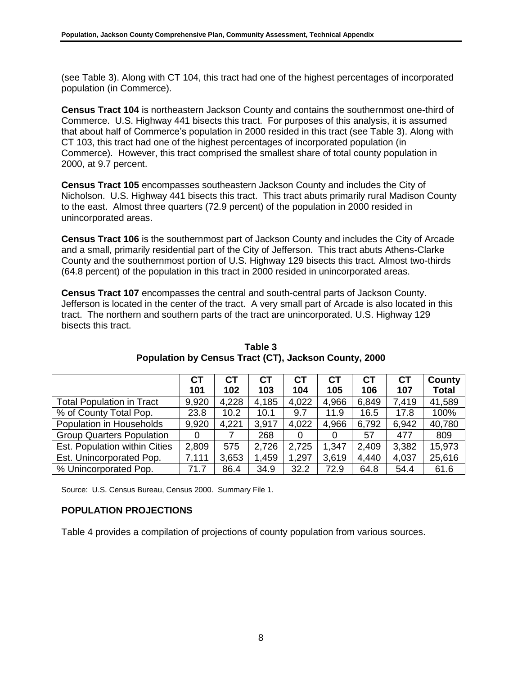(see Table 3). Along with CT 104, this tract had one of the highest percentages of incorporated population (in Commerce).

**Census Tract 104** is northeastern Jackson County and contains the southernmost one-third of Commerce. U.S. Highway 441 bisects this tract. For purposes of this analysis, it is assumed that about half of Commerce's population in 2000 resided in this tract (see Table 3). Along with CT 103, this tract had one of the highest percentages of incorporated population (in Commerce). However, this tract comprised the smallest share of total county population in 2000, at 9.7 percent.

**Census Tract 105** encompasses southeastern Jackson County and includes the City of Nicholson. U.S. Highway 441 bisects this tract. This tract abuts primarily rural Madison County to the east. Almost three quarters (72.9 percent) of the population in 2000 resided in unincorporated areas.

**Census Tract 106** is the southernmost part of Jackson County and includes the City of Arcade and a small, primarily residential part of the City of Jefferson. This tract abuts Athens-Clarke County and the southernmost portion of U.S. Highway 129 bisects this tract. Almost two-thirds (64.8 percent) of the population in this tract in 2000 resided in unincorporated areas.

**Census Tract 107** encompasses the central and south-central parts of Jackson County. Jefferson is located in the center of the tract. A very small part of Arcade is also located in this tract. The northern and southern parts of the tract are unincorporated. U.S. Highway 129 bisects this tract.

|                                  | <b>CT</b> | <b>CT</b> | <b>CT</b> | СT    | CТ    | <b>CT</b> | <b>CT</b> | County       |
|----------------------------------|-----------|-----------|-----------|-------|-------|-----------|-----------|--------------|
|                                  | 101       | 102       | 103       | 104   | 105   | 106       | 107       | <b>Total</b> |
| <b>Total Population in Tract</b> | 9,920     | 4,228     | 4,185     | 4,022 | 4,966 | 6,849     | 7,419     | 41,589       |
| % of County Total Pop.           | 23.8      | 10.2      | 10.1      | 9.7   | 11.9  | 16.5      | 17.8      | 100%         |
| Population in Households         | 9,920     | 4,221     | 3,917     | 4,022 | 4,966 | 6,792     | 6,942     | 40,780       |
| <b>Group Quarters Population</b> | 0         |           | 268       |       |       | 57        | 477       | 809          |
| Est. Population within Cities    | 2,809     | 575       | 2,726     | 2,725 | 1,347 | 2,409     | 3,382     | 15,973       |
| Est. Unincorporated Pop.         | 7,111     | 3,653     | 1,459     | 1,297 | 3,619 | 4,440     | 4,037     | 25,616       |
| % Unincorporated Pop.            | 71.7      | 86.4      | 34.9      | 32.2  | 72.9  | 64.8      | 54.4      | 61.6         |

**Table 3 Population by Census Tract (CT), Jackson County, 2000**

Source: U.S. Census Bureau, Census 2000. Summary File 1.

# **POPULATION PROJECTIONS**

Table 4 provides a compilation of projections of county population from various sources.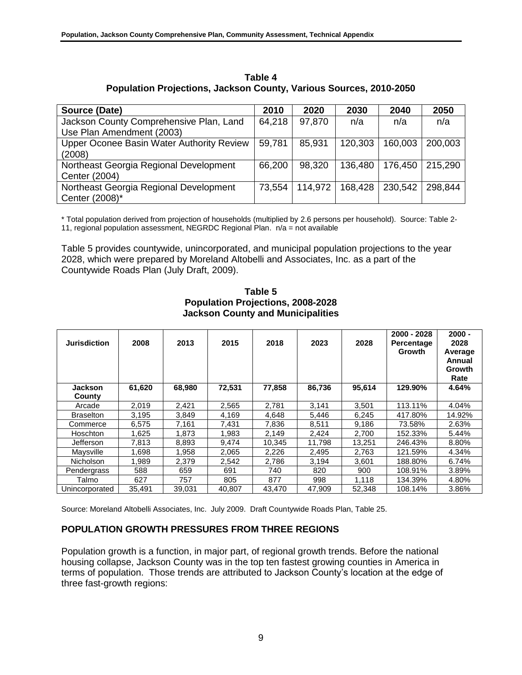| Source (Date)                                                        | 2010   | 2020    | 2030    | 2040    | 2050    |
|----------------------------------------------------------------------|--------|---------|---------|---------|---------|
| Jackson County Comprehensive Plan, Land<br>Use Plan Amendment (2003) | 64,218 | 97,870  | n/a     | n/a     | n/a     |
| Upper Oconee Basin Water Authority Review<br>(2008)                  | 59,781 | 85.931  | 120.303 | 160,003 | 200,003 |
| Northeast Georgia Regional Development<br>Center (2004)              | 66,200 | 98,320  | 136,480 | 176,450 | 215,290 |
| Northeast Georgia Regional Development<br>Center (2008)*             | 73,554 | 114.972 | 168,428 | 230.542 | 298.844 |

**Table 4 Population Projections, Jackson County, Various Sources, 2010-2050**

\* Total population derived from projection of households (multiplied by 2.6 persons per household). Source: Table 2- 11, regional population assessment, NEGRDC Regional Plan. n/a = not available

Table 5 provides countywide, unincorporated, and municipal population projections to the year 2028, which were prepared by Moreland Altobelli and Associates, Inc. as a part of the Countywide Roads Plan (July Draft, 2009).

**Table 5 Population Projections, 2008-2028 Jackson County and Municipalities**

| <b>Jurisdiction</b> | 2008   | 2013   | 2015   | 2018   | 2023   | 2028   | 2000 - 2028<br>Percentage<br><b>Growth</b> | $2000 -$<br>2028<br>Average<br>Annual<br>Growth<br>Rate |
|---------------------|--------|--------|--------|--------|--------|--------|--------------------------------------------|---------------------------------------------------------|
| Jackson             | 61,620 | 68,980 | 72,531 | 77,858 | 86,736 | 95,614 | 129.90%                                    | 4.64%                                                   |
| County              |        |        |        |        |        |        |                                            |                                                         |
| Arcade              | 2,019  | 2,421  | 2,565  | 2,781  | 3,141  | 3,501  | 113.11%                                    | 4.04%                                                   |
| <b>Braselton</b>    | 3,195  | 3,849  | 4,169  | 4,648  | 5,446  | 6,245  | 417.80%                                    | 14.92%                                                  |
| Commerce            | 6,575  | 7.161  | 7.431  | 7,836  | 8,511  | 9,186  | 73.58%                                     | 2.63%                                                   |
| Hoschton            | 1,625  | 1.873  | 1.983  | 2,149  | 2,424  | 2,700  | 152.33%                                    | 5.44%                                                   |
| Jefferson           | 7,813  | 8,893  | 9,474  | 10,345 | 11,798 | 13,251 | 246.43%                                    | 8.80%                                                   |
| Mavsville           | 1.698  | 1.958  | 2,065  | 2,226  | 2,495  | 2,763  | 121.59%                                    | 4.34%                                                   |
| <b>Nicholson</b>    | 1.989  | 2,379  | 2,542  | 2,786  | 3,194  | 3,601  | 188.80%                                    | 6.74%                                                   |
| Pendergrass         | 588    | 659    | 691    | 740    | 820    | 900    | 108.91%                                    | 3.89%                                                   |
| Talmo               | 627    | 757    | 805    | 877    | 998    | 1.118  | 134.39%                                    | 4.80%                                                   |
| Unincorporated      | 35,491 | 39.031 | 40.807 | 43.470 | 47.909 | 52.348 | 108.14%                                    | 3.86%                                                   |

Source: Moreland Altobelli Associates, Inc. July 2009. Draft Countywide Roads Plan, Table 25.

# **POPULATION GROWTH PRESSURES FROM THREE REGIONS**

Population growth is a function, in major part, of regional growth trends. Before the national housing collapse, Jackson County was in the top ten fastest growing counties in America in terms of population. Those trends are attributed to Jackson County's location at the edge of three fast-growth regions: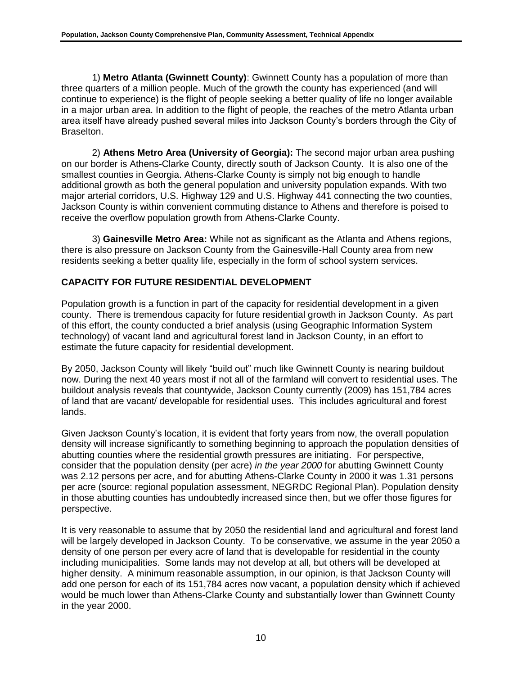1) **Metro Atlanta (Gwinnett County)**: Gwinnett County has a population of more than three quarters of a million people. Much of the growth the county has experienced (and will continue to experience) is the flight of people seeking a better quality of life no longer available in a major urban area. In addition to the flight of people, the reaches of the metro Atlanta urban area itself have already pushed several miles into Jackson County's borders through the City of Braselton.

2) **Athens Metro Area (University of Georgia):** The second major urban area pushing on our border is Athens-Clarke County, directly south of Jackson County. It is also one of the smallest counties in Georgia. Athens-Clarke County is simply not big enough to handle additional growth as both the general population and university population expands. With two major arterial corridors, U.S. Highway 129 and U.S. Highway 441 connecting the two counties, Jackson County is within convenient commuting distance to Athens and therefore is poised to receive the overflow population growth from Athens-Clarke County.

3) **Gainesville Metro Area:** While not as significant as the Atlanta and Athens regions, there is also pressure on Jackson County from the Gainesville-Hall County area from new residents seeking a better quality life, especially in the form of school system services.

# **CAPACITY FOR FUTURE RESIDENTIAL DEVELOPMENT**

Population growth is a function in part of the capacity for residential development in a given county. There is tremendous capacity for future residential growth in Jackson County. As part of this effort, the county conducted a brief analysis (using Geographic Information System technology) of vacant land and agricultural forest land in Jackson County, in an effort to estimate the future capacity for residential development.

By 2050, Jackson County will likely "build out" much like Gwinnett County is nearing buildout now. During the next 40 years most if not all of the farmland will convert to residential uses. The buildout analysis reveals that countywide, Jackson County currently (2009) has 151,784 acres of land that are vacant/ developable for residential uses. This includes agricultural and forest lands.

Given Jackson County's location, it is evident that forty years from now, the overall population density will increase significantly to something beginning to approach the population densities of abutting counties where the residential growth pressures are initiating. For perspective, consider that the population density (per acre) *in the year 2000* for abutting Gwinnett County was 2.12 persons per acre, and for abutting Athens-Clarke County in 2000 it was 1.31 persons per acre (source: regional population assessment, NEGRDC Regional Plan). Population density in those abutting counties has undoubtedly increased since then, but we offer those figures for perspective.

It is very reasonable to assume that by 2050 the residential land and agricultural and forest land will be largely developed in Jackson County. To be conservative, we assume in the year 2050 a density of one person per every acre of land that is developable for residential in the county including municipalities. Some lands may not develop at all, but others will be developed at higher density. A minimum reasonable assumption, in our opinion, is that Jackson County will add one person for each of its 151,784 acres now vacant, a population density which if achieved would be much lower than Athens-Clarke County and substantially lower than Gwinnett County in the year 2000.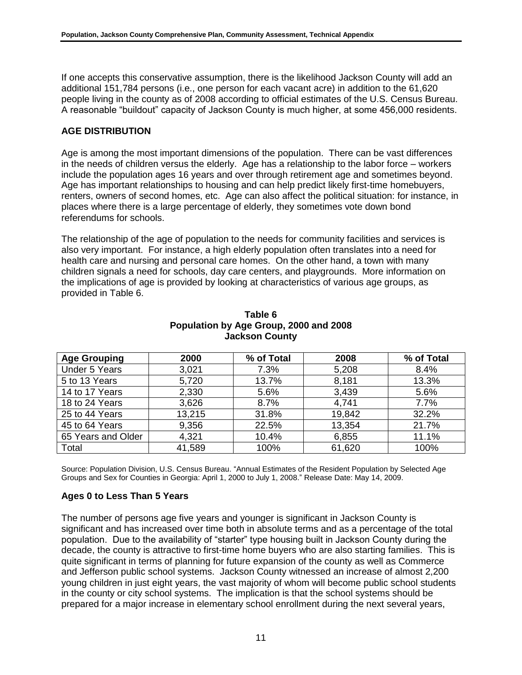If one accepts this conservative assumption, there is the likelihood Jackson County will add an additional 151,784 persons (i.e., one person for each vacant acre) in addition to the 61,620 people living in the county as of 2008 according to official estimates of the U.S. Census Bureau. A reasonable "buildout" capacity of Jackson County is much higher, at some 456,000 residents.

## **AGE DISTRIBUTION**

Age is among the most important dimensions of the population. There can be vast differences in the needs of children versus the elderly. Age has a relationship to the labor force – workers include the population ages 16 years and over through retirement age and sometimes beyond. Age has important relationships to housing and can help predict likely first-time homebuyers, renters, owners of second homes, etc. Age can also affect the political situation: for instance, in places where there is a large percentage of elderly, they sometimes vote down bond referendums for schools.

The relationship of the age of population to the needs for community facilities and services is also very important. For instance, a high elderly population often translates into a need for health care and nursing and personal care homes. On the other hand, a town with many children signals a need for schools, day care centers, and playgrounds. More information on the implications of age is provided by looking at characteristics of various age groups, as provided in Table 6.

| <b>Age Grouping</b>  | 2000   | % of Total | 2008   | % of Total |
|----------------------|--------|------------|--------|------------|
| <b>Under 5 Years</b> | 3,021  | 7.3%       | 5,208  | 8.4%       |
| 5 to 13 Years        | 5,720  | 13.7%      | 8,181  | 13.3%      |
| 14 to 17 Years       | 2,330  | 5.6%       | 3,439  | 5.6%       |
| 18 to 24 Years       | 3,626  | 8.7%       | 4,741  | 7.7%       |
| 25 to 44 Years       | 13,215 | 31.8%      | 19,842 | 32.2%      |
| 45 to 64 Years       | 9,356  | 22.5%      | 13,354 | 21.7%      |
| 65 Years and Older   | 4,321  | 10.4%      | 6,855  | 11.1%      |
| Total                | 41,589 | 100%       | 61,620 | 100%       |

#### **Table 6 Population by Age Group, 2000 and 2008 Jackson County**

Source: Population Division, U.S. Census Bureau. "Annual Estimates of the Resident Population by Selected Age Groups and Sex for Counties in Georgia: April 1, 2000 to July 1, 2008." Release Date: May 14, 2009.

### **Ages 0 to Less Than 5 Years**

The number of persons age five years and younger is significant in Jackson County is significant and has increased over time both in absolute terms and as a percentage of the total population. Due to the availability of "starter" type housing built in Jackson County during the decade, the county is attractive to first-time home buyers who are also starting families. This is quite significant in terms of planning for future expansion of the county as well as Commerce and Jefferson public school systems. Jackson County witnessed an increase of almost 2,200 young children in just eight years, the vast majority of whom will become public school students in the county or city school systems. The implication is that the school systems should be prepared for a major increase in elementary school enrollment during the next several years,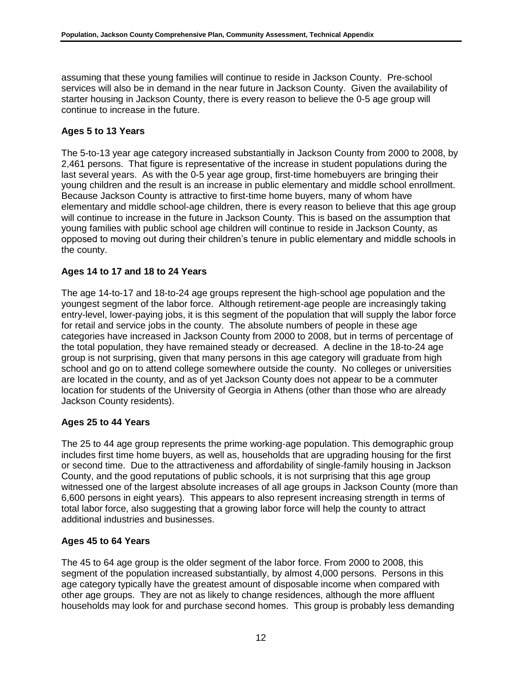assuming that these young families will continue to reside in Jackson County. Pre-school services will also be in demand in the near future in Jackson County. Given the availability of starter housing in Jackson County, there is every reason to believe the 0-5 age group will continue to increase in the future.

## **Ages 5 to 13 Years**

The 5-to-13 year age category increased substantially in Jackson County from 2000 to 2008, by 2,461 persons. That figure is representative of the increase in student populations during the last several years. As with the 0-5 year age group, first-time homebuyers are bringing their young children and the result is an increase in public elementary and middle school enrollment. Because Jackson County is attractive to first-time home buyers, many of whom have elementary and middle school-age children, there is every reason to believe that this age group will continue to increase in the future in Jackson County. This is based on the assumption that young families with public school age children will continue to reside in Jackson County, as opposed to moving out during their children's tenure in public elementary and middle schools in the county.

## **Ages 14 to 17 and 18 to 24 Years**

The age 14-to-17 and 18-to-24 age groups represent the high-school age population and the youngest segment of the labor force. Although retirement-age people are increasingly taking entry-level, lower-paying jobs, it is this segment of the population that will supply the labor force for retail and service jobs in the county. The absolute numbers of people in these age categories have increased in Jackson County from 2000 to 2008, but in terms of percentage of the total population, they have remained steady or decreased. A decline in the 18-to-24 age group is not surprising, given that many persons in this age category will graduate from high school and go on to attend college somewhere outside the county. No colleges or universities are located in the county, and as of yet Jackson County does not appear to be a commuter location for students of the University of Georgia in Athens (other than those who are already Jackson County residents).

### **Ages 25 to 44 Years**

The 25 to 44 age group represents the prime working-age population. This demographic group includes first time home buyers, as well as, households that are upgrading housing for the first or second time. Due to the attractiveness and affordability of single-family housing in Jackson County, and the good reputations of public schools, it is not surprising that this age group witnessed one of the largest absolute increases of all age groups in Jackson County (more than 6,600 persons in eight years). This appears to also represent increasing strength in terms of total labor force, also suggesting that a growing labor force will help the county to attract additional industries and businesses.

### **Ages 45 to 64 Years**

The 45 to 64 age group is the older segment of the labor force. From 2000 to 2008, this segment of the population increased substantially, by almost 4,000 persons. Persons in this age category typically have the greatest amount of disposable income when compared with other age groups. They are not as likely to change residences, although the more affluent households may look for and purchase second homes. This group is probably less demanding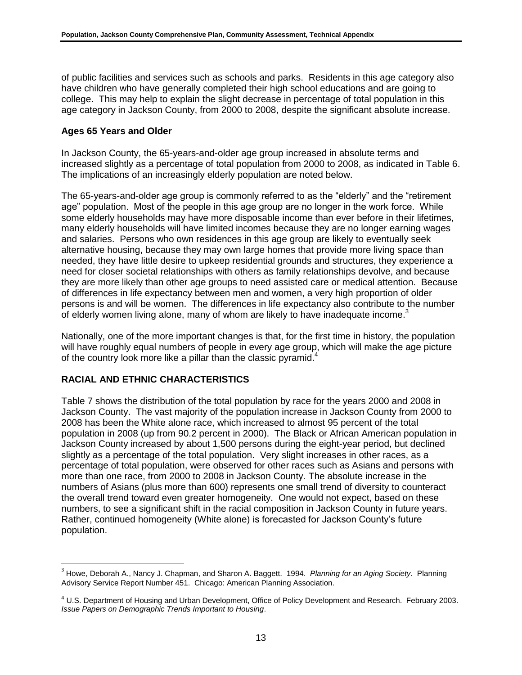of public facilities and services such as schools and parks. Residents in this age category also have children who have generally completed their high school educations and are going to college. This may help to explain the slight decrease in percentage of total population in this age category in Jackson County, from 2000 to 2008, despite the significant absolute increase.

#### **Ages 65 Years and Older**

In Jackson County, the 65-years-and-older age group increased in absolute terms and increased slightly as a percentage of total population from 2000 to 2008, as indicated in Table 6. The implications of an increasingly elderly population are noted below.

The 65-years-and-older age group is commonly referred to as the "elderly" and the "retirement age" population. Most of the people in this age group are no longer in the work force. While some elderly households may have more disposable income than ever before in their lifetimes, many elderly households will have limited incomes because they are no longer earning wages and salaries. Persons who own residences in this age group are likely to eventually seek alternative housing, because they may own large homes that provide more living space than needed, they have little desire to upkeep residential grounds and structures, they experience a need for closer societal relationships with others as family relationships devolve, and because they are more likely than other age groups to need assisted care or medical attention. Because of differences in life expectancy between men and women, a very high proportion of older persons is and will be women. The differences in life expectancy also contribute to the number of elderly women living alone, many of whom are likely to have inadequate income.<sup>3</sup>

Nationally, one of the more important changes is that, for the first time in history, the population will have roughly equal numbers of people in every age group, which will make the age picture of the country look more like a pillar than the classic pyramid.<sup>4</sup>

### **RACIAL AND ETHNIC CHARACTERISTICS**

l

Table 7 shows the distribution of the total population by race for the years 2000 and 2008 in Jackson County. The vast majority of the population increase in Jackson County from 2000 to 2008 has been the White alone race, which increased to almost 95 percent of the total population in 2008 (up from 90.2 percent in 2000). The Black or African American population in Jackson County increased by about 1,500 persons during the eight-year period, but declined slightly as a percentage of the total population. Very slight increases in other races, as a percentage of total population, were observed for other races such as Asians and persons with more than one race, from 2000 to 2008 in Jackson County. The absolute increase in the numbers of Asians (plus more than 600) represents one small trend of diversity to counteract the overall trend toward even greater homogeneity. One would not expect, based on these numbers, to see a significant shift in the racial composition in Jackson County in future years. Rather, continued homogeneity (White alone) is forecasted for Jackson County's future population.

<sup>3</sup> Howe, Deborah A., Nancy J. Chapman, and Sharon A. Baggett. 1994. *Planning for an Aging Society*. Planning Advisory Service Report Number 451. Chicago: American Planning Association.

<sup>4</sup> U.S. Department of Housing and Urban Development, Office of Policy Development and Research. February 2003. *Issue Papers on Demographic Trends Important to Housing*.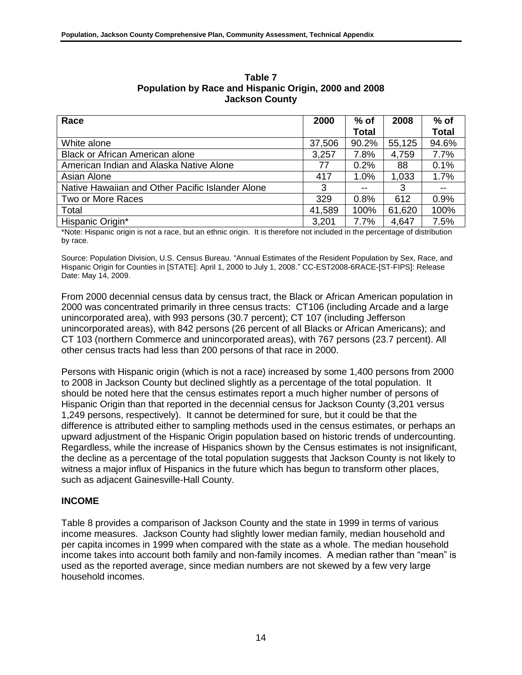| Race                                             | 2000   | $%$ of       | 2008   | $%$ of       |
|--------------------------------------------------|--------|--------------|--------|--------------|
|                                                  |        | <b>Total</b> |        | <b>Total</b> |
| White alone                                      | 37,506 | 90.2%        | 55,125 | 94.6%        |
| <b>Black or African American alone</b>           | 3,257  | 7.8%         | 4,759  | 7.7%         |
| American Indian and Alaska Native Alone          | 77     | 0.2%         | 88     | 0.1%         |
| Asian Alone                                      | 417    | 1.0%         | 1,033  | 1.7%         |
| Native Hawaiian and Other Pacific Islander Alone | 3      |              | 3      | $-$          |
| Two or More Races                                | 329    | 0.8%         | 612    | 0.9%         |
| Total                                            | 41,589 | 100%         | 61,620 | 100%         |
| Hispanic Origin*                                 | 3,201  | 7.7%         | 4,647  | 7.5%         |

**Table 7 Population by Race and Hispanic Origin, 2000 and 2008 Jackson County**

\*Note: Hispanic origin is not a race, but an ethnic origin. It is therefore not included in the percentage of distribution by race.

Source: Population Division, U.S. Census Bureau. "Annual Estimates of the Resident Population by Sex, Race, and Hispanic Origin for Counties in [STATE]: April 1, 2000 to July 1, 2008." CC-EST2008-6RACE-[ST-FIPS]: Release Date: May 14, 2009.

From 2000 decennial census data by census tract, the Black or African American population in 2000 was concentrated primarily in three census tracts: CT106 (including Arcade and a large unincorporated area), with 993 persons (30.7 percent); CT 107 (including Jefferson unincorporated areas), with 842 persons (26 percent of all Blacks or African Americans); and CT 103 (northern Commerce and unincorporated areas), with 767 persons (23.7 percent). All other census tracts had less than 200 persons of that race in 2000.

Persons with Hispanic origin (which is not a race) increased by some 1,400 persons from 2000 to 2008 in Jackson County but declined slightly as a percentage of the total population. It should be noted here that the census estimates report a much higher number of persons of Hispanic Origin than that reported in the decennial census for Jackson County (3,201 versus 1,249 persons, respectively). It cannot be determined for sure, but it could be that the difference is attributed either to sampling methods used in the census estimates, or perhaps an upward adjustment of the Hispanic Origin population based on historic trends of undercounting. Regardless, while the increase of Hispanics shown by the Census estimates is not insignificant, the decline as a percentage of the total population suggests that Jackson County is not likely to witness a major influx of Hispanics in the future which has begun to transform other places, such as adjacent Gainesville-Hall County.

### **INCOME**

Table 8 provides a comparison of Jackson County and the state in 1999 in terms of various income measures. Jackson County had slightly lower median family, median household and per capita incomes in 1999 when compared with the state as a whole. The median household income takes into account both family and non-family incomes. A median rather than "mean" is used as the reported average, since median numbers are not skewed by a few very large household incomes.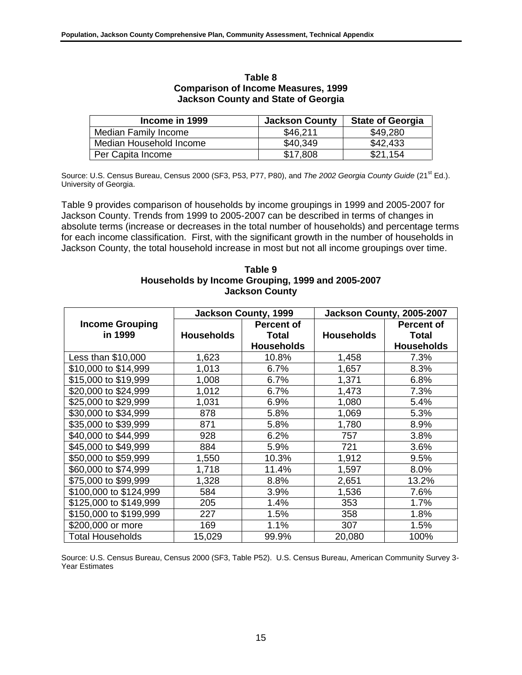| Income in 1999          | <b>Jackson County</b> | <b>State of Georgia</b> |
|-------------------------|-----------------------|-------------------------|
| Median Family Income    | \$46,211              | \$49,280                |
| Median Household Income | \$40,349              | \$42,433                |
| Per Capita Income       | \$17.808              | \$21.154                |

#### **Table 8 Comparison of Income Measures, 1999 Jackson County and State of Georgia**

Source: U.S. Census Bureau, Census 2000 (SF3, P53, P77, P80), and *The 2002 Georgia County Guide* (21<sup>st</sup> Ed.). University of Georgia.

Table 9 provides comparison of households by income groupings in 1999 and 2005-2007 for Jackson County. Trends from 1999 to 2005-2007 can be described in terms of changes in absolute terms (increase or decreases in the total number of households) and percentage terms for each income classification. First, with the significant growth in the number of households in Jackson County, the total household increase in most but not all income groupings over time.

#### **Table 9 Households by Income Grouping, 1999 and 2005-2007 Jackson County**

|                         | <b>Jackson County, 1999</b> |                   | Jackson County, 2005-2007 |                   |  |
|-------------------------|-----------------------------|-------------------|---------------------------|-------------------|--|
| <b>Income Grouping</b>  |                             | <b>Percent of</b> |                           | <b>Percent of</b> |  |
| in 1999                 | <b>Households</b>           | <b>Total</b>      | <b>Households</b>         | <b>Total</b>      |  |
|                         |                             | <b>Households</b> |                           | <b>Households</b> |  |
| Less than \$10,000      | 1,623                       | 10.8%             | 1,458                     | 7.3%              |  |
| \$10,000 to \$14,999    | 1,013                       | 6.7%              | 1,657                     | 8.3%              |  |
| \$15,000 to \$19,999    | 1,008                       | 6.7%              | 1,371                     | 6.8%              |  |
| \$20,000 to \$24,999    | 1,012                       | 6.7%              | 1,473                     | 7.3%              |  |
| \$25,000 to \$29,999    | 1,031                       | 6.9%              | 1,080                     | 5.4%              |  |
| \$30,000 to \$34,999    | 878                         | 5.8%              | 1,069                     | 5.3%              |  |
| \$35,000 to \$39,999    | 871                         | 5.8%              | 1,780                     | 8.9%              |  |
| \$40,000 to \$44,999    | 928                         | 6.2%              | 757                       | 3.8%              |  |
| \$45,000 to \$49,999    | 884                         | 5.9%              | 721                       | 3.6%              |  |
| \$50,000 to \$59,999    | 1,550                       | 10.3%             | 1,912                     | 9.5%              |  |
| \$60,000 to \$74,999    | 1,718                       | 11.4%             | 1,597                     | 8.0%              |  |
| \$75,000 to \$99,999    | 1,328                       | 8.8%              | 2,651                     | 13.2%             |  |
| \$100,000 to \$124,999  | 584                         | 3.9%              | 1,536                     | 7.6%              |  |
| \$125,000 to \$149,999  | 205                         | 1.4%              | 353                       | 1.7%              |  |
| \$150,000 to \$199,999  | 227                         | 1.5%              | 358                       | 1.8%              |  |
| \$200,000 or more       | 169                         | 1.1%              | 307                       | 1.5%              |  |
| <b>Total Households</b> | 15,029                      | 99.9%             | 20,080                    | 100%              |  |

Source: U.S. Census Bureau, Census 2000 (SF3, Table P52). U.S. Census Bureau, American Community Survey 3- Year Estimates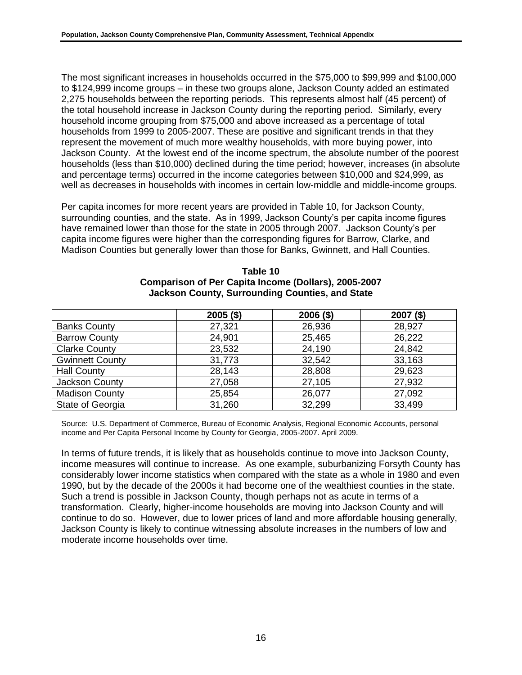The most significant increases in households occurred in the \$75,000 to \$99,999 and \$100,000 to \$124,999 income groups – in these two groups alone, Jackson County added an estimated 2,275 households between the reporting periods. This represents almost half (45 percent) of the total household increase in Jackson County during the reporting period. Similarly, every household income grouping from \$75,000 and above increased as a percentage of total households from 1999 to 2005-2007. These are positive and significant trends in that they represent the movement of much more wealthy households, with more buying power, into Jackson County. At the lowest end of the income spectrum, the absolute number of the poorest households (less than \$10,000) declined during the time period; however, increases (in absolute and percentage terms) occurred in the income categories between \$10,000 and \$24,999, as well as decreases in households with incomes in certain low-middle and middle-income groups.

Per capita incomes for more recent years are provided in Table 10, for Jackson County, surrounding counties, and the state. As in 1999, Jackson County's per capita income figures have remained lower than those for the state in 2005 through 2007. Jackson County's per capita income figures were higher than the corresponding figures for Barrow, Clarke, and Madison Counties but generally lower than those for Banks, Gwinnett, and Hall Counties.

|                        | $2005($ \$) | $2006($ \$) | $2007($ \$) |
|------------------------|-------------|-------------|-------------|
| <b>Banks County</b>    | 27,321      | 26,936      | 28,927      |
| <b>Barrow County</b>   | 24,901      | 25,465      | 26,222      |
| <b>Clarke County</b>   | 23,532      | 24,190      | 24,842      |
| <b>Gwinnett County</b> | 31,773      | 32,542      | 33,163      |
| <b>Hall County</b>     | 28,143      | 28,808      | 29,623      |
| Jackson County         | 27,058      | 27,105      | 27,932      |
| <b>Madison County</b>  | 25,854      | 26,077      | 27,092      |
| State of Georgia       | 31,260      | 32,299      | 33,499      |

#### **Table 10 Comparison of Per Capita Income (Dollars), 2005-2007 Jackson County, Surrounding Counties, and State**

Source: U.S. Department of Commerce, Bureau of Economic Analysis, Regional Economic Accounts, personal income and Per Capita Personal Income by County for Georgia, 2005-2007. April 2009.

In terms of future trends, it is likely that as households continue to move into Jackson County, income measures will continue to increase. As one example, suburbanizing Forsyth County has considerably lower income statistics when compared with the state as a whole in 1980 and even 1990, but by the decade of the 2000s it had become one of the wealthiest counties in the state. Such a trend is possible in Jackson County, though perhaps not as acute in terms of a transformation. Clearly, higher-income households are moving into Jackson County and will continue to do so. However, due to lower prices of land and more affordable housing generally, Jackson County is likely to continue witnessing absolute increases in the numbers of low and moderate income households over time.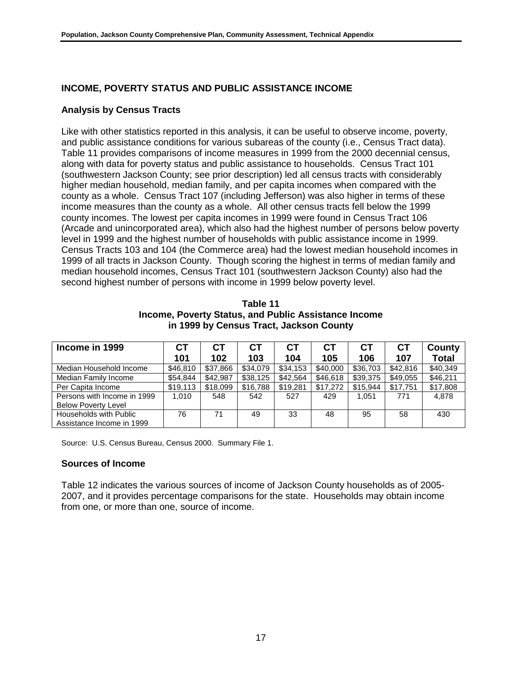## **INCOME, POVERTY STATUS AND PUBLIC ASSISTANCE INCOME**

### **Analysis by Census Tracts**

Like with other statistics reported in this analysis, it can be useful to observe income, poverty, and public assistance conditions for various subareas of the county (i.e., Census Tract data). Table 11 provides comparisons of income measures in 1999 from the 2000 decennial census, along with data for poverty status and public assistance to households. Census Tract 101 (southwestern Jackson County; see prior description) led all census tracts with considerably higher median household, median family, and per capita incomes when compared with the county as a whole. Census Tract 107 (including Jefferson) was also higher in terms of these income measures than the county as a whole. All other census tracts fell below the 1999 county incomes. The lowest per capita incomes in 1999 were found in Census Tract 106 (Arcade and unincorporated area), which also had the highest number of persons below poverty level in 1999 and the highest number of households with public assistance income in 1999. Census Tracts 103 and 104 (the Commerce area) had the lowest median household incomes in 1999 of all tracts in Jackson County. Though scoring the highest in terms of median family and median household incomes, Census Tract 101 (southwestern Jackson County) also had the second highest number of persons with income in 1999 below poverty level.

**Table 11 Income, Poverty Status, and Public Assistance Income in 1999 by Census Tract, Jackson County**

| Income in 1999              | СT       | <b>CT</b> | <b>CT</b> | СT       | <b>CT</b> | <b>CT</b> | <b>CT</b> | County       |
|-----------------------------|----------|-----------|-----------|----------|-----------|-----------|-----------|--------------|
|                             | 101      | 102       | 103       | 104      | 105       | 106       | 107       | <b>Total</b> |
| Median Household Income     | \$46,810 | \$37,866  | \$34,079  | \$34,153 | \$40,000  | \$36,703  | \$42,816  | \$40,349     |
| Median Family Income        | \$54,844 | \$42.987  | \$38,125  | \$42,564 | \$46,618  | \$39,375  | \$49,055  | \$46,211     |
| Per Capita Income           | \$19,113 | \$18,099  | \$16,788  | \$19,281 | \$17,272  | \$15.944  | \$17,751  | \$17,808     |
| Persons with Income in 1999 | 1.010    | 548       | 542       | 527      | 429       | 1.051     | 771       | 4.878        |
| <b>Below Poverty Level</b>  |          |           |           |          |           |           |           |              |
| Households with Public      | 76       | 71        | 49        | 33       | 48        | 95        | 58        | 430          |
| Assistance Income in 1999   |          |           |           |          |           |           |           |              |

Source: U.S. Census Bureau, Census 2000. Summary File 1.

#### **Sources of Income**

Table 12 indicates the various sources of income of Jackson County households as of 2005- 2007, and it provides percentage comparisons for the state. Households may obtain income from one, or more than one, source of income.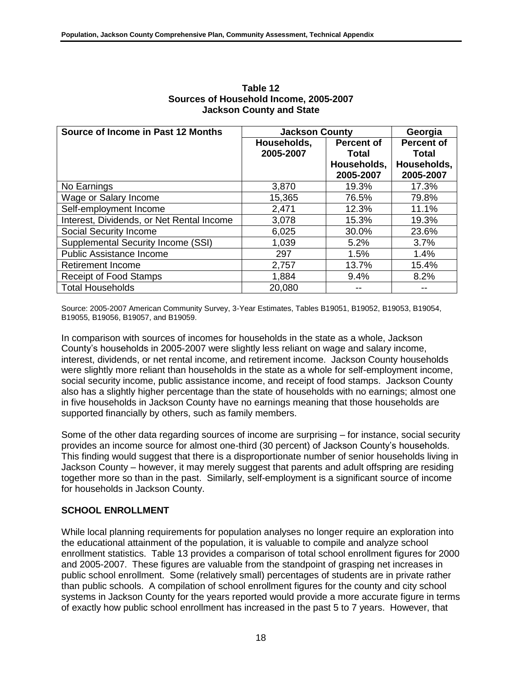| Source of Income in Past 12 Months        | <b>Jackson County</b> | Georgia           |                   |
|-------------------------------------------|-----------------------|-------------------|-------------------|
|                                           | Households,           | <b>Percent of</b> | <b>Percent of</b> |
|                                           | 2005-2007             | Total             | Total             |
|                                           |                       | Households,       | Households,       |
|                                           |                       | 2005-2007         | 2005-2007         |
| No Earnings                               | 3,870                 | 19.3%             | 17.3%             |
| Wage or Salary Income                     | 15,365                | 76.5%             | 79.8%             |
| Self-employment Income                    | 2,471                 | 12.3%             | 11.1%             |
| Interest, Dividends, or Net Rental Income | 3,078                 | 15.3%             | 19.3%             |
| Social Security Income                    | 6,025                 | 30.0%             | 23.6%             |
| Supplemental Security Income (SSI)        | 1,039                 | 5.2%              | $3.7\%$           |
| <b>Public Assistance Income</b>           | 297                   | 1.5%              | 1.4%              |
| <b>Retirement Income</b>                  | 2,757                 | 13.7%             | 15.4%             |
| <b>Receipt of Food Stamps</b>             | 1,884                 | 9.4%              | 8.2%              |
| <b>Total Households</b>                   | 20,080                |                   |                   |

**Table 12 Sources of Household Income, 2005-2007 Jackson County and State**

Source: 2005-2007 American Community Survey, 3-Year Estimates, Tables B19051, B19052, B19053, B19054, B19055, B19056, B19057, and B19059.

In comparison with sources of incomes for households in the state as a whole, Jackson County's households in 2005-2007 were slightly less reliant on wage and salary income, interest, dividends, or net rental income, and retirement income. Jackson County households were slightly more reliant than households in the state as a whole for self-employment income, social security income, public assistance income, and receipt of food stamps. Jackson County also has a slightly higher percentage than the state of households with no earnings; almost one in five households in Jackson County have no earnings meaning that those households are supported financially by others, such as family members.

Some of the other data regarding sources of income are surprising – for instance, social security provides an income source for almost one-third (30 percent) of Jackson County's households. This finding would suggest that there is a disproportionate number of senior households living in Jackson County – however, it may merely suggest that parents and adult offspring are residing together more so than in the past. Similarly, self-employment is a significant source of income for households in Jackson County.

# **SCHOOL ENROLLMENT**

While local planning requirements for population analyses no longer require an exploration into the educational attainment of the population, it is valuable to compile and analyze school enrollment statistics. Table 13 provides a comparison of total school enrollment figures for 2000 and 2005-2007. These figures are valuable from the standpoint of grasping net increases in public school enrollment. Some (relatively small) percentages of students are in private rather than public schools. A compilation of school enrollment figures for the county and city school systems in Jackson County for the years reported would provide a more accurate figure in terms of exactly how public school enrollment has increased in the past 5 to 7 years. However, that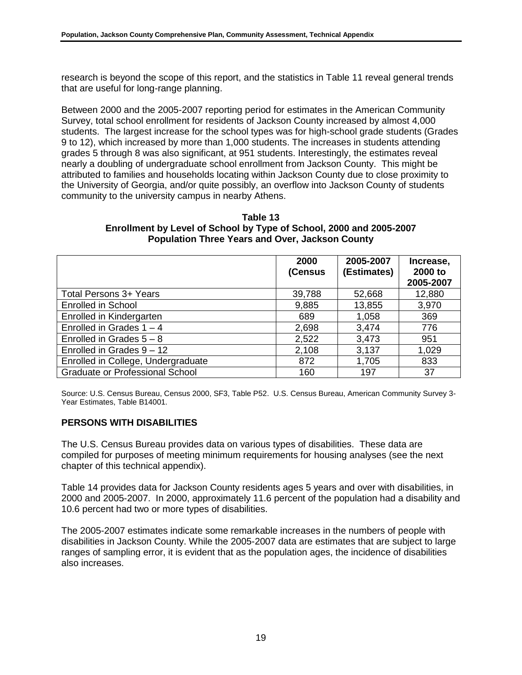research is beyond the scope of this report, and the statistics in Table 11 reveal general trends that are useful for long-range planning.

Between 2000 and the 2005-2007 reporting period for estimates in the American Community Survey, total school enrollment for residents of Jackson County increased by almost 4,000 students. The largest increase for the school types was for high-school grade students (Grades 9 to 12), which increased by more than 1,000 students. The increases in students attending grades 5 through 8 was also significant, at 951 students. Interestingly, the estimates reveal nearly a doubling of undergraduate school enrollment from Jackson County. This might be attributed to families and households locating within Jackson County due to close proximity to the University of Georgia, and/or quite possibly, an overflow into Jackson County of students community to the university campus in nearby Athens.

#### **Table 13 Enrollment by Level of School by Type of School, 2000 and 2005-2007 Population Three Years and Over, Jackson County**

|                                        | 2000<br>(Census | 2005-2007<br>(Estimates) | Increase,<br>2000 to<br>2005-2007 |
|----------------------------------------|-----------------|--------------------------|-----------------------------------|
| <b>Total Persons 3+ Years</b>          | 39,788          | 52,668                   | 12,880                            |
| Enrolled in School                     | 9,885           | 13,855                   | 3,970                             |
| Enrolled in Kindergarten               | 689             | 1,058                    | 369                               |
| Enrolled in Grades $1 - 4$             | 2,698           | 3,474                    | 776                               |
| Enrolled in Grades $5 - 8$             | 2,522           | 3,473                    | 951                               |
| Enrolled in Grades $9 - 12$            | 2,108           | 3,137                    | 1,029                             |
| Enrolled in College, Undergraduate     | 872             | 1,705                    | 833                               |
| <b>Graduate or Professional School</b> | 160             | 197                      | 37                                |

Source: U.S. Census Bureau, Census 2000, SF3, Table P52. U.S. Census Bureau, American Community Survey 3- Year Estimates, Table B14001.

### **PERSONS WITH DISABILITIES**

The U.S. Census Bureau provides data on various types of disabilities. These data are compiled for purposes of meeting minimum requirements for housing analyses (see the next chapter of this technical appendix).

Table 14 provides data for Jackson County residents ages 5 years and over with disabilities, in 2000 and 2005-2007. In 2000, approximately 11.6 percent of the population had a disability and 10.6 percent had two or more types of disabilities.

The 2005-2007 estimates indicate some remarkable increases in the numbers of people with disabilities in Jackson County. While the 2005-2007 data are estimates that are subject to large ranges of sampling error, it is evident that as the population ages, the incidence of disabilities also increases.